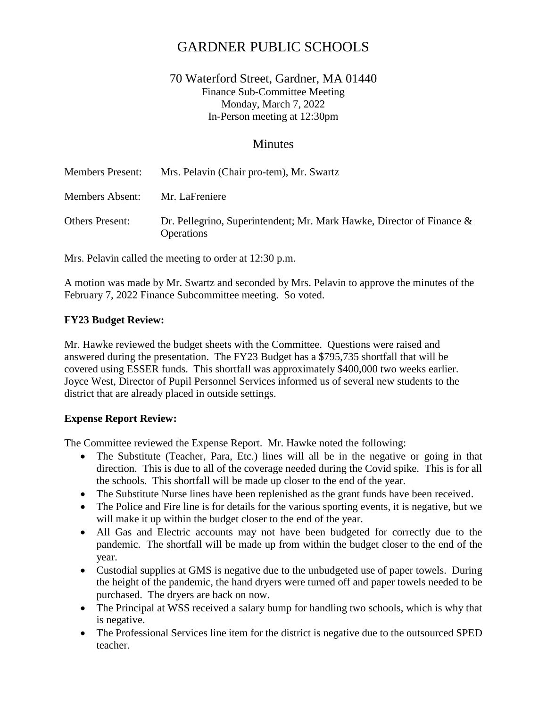# GARDNER PUBLIC SCHOOLS

# 70 Waterford Street, Gardner, MA 01440 Finance Sub-Committee Meeting Monday, March 7, 2022 In-Person meeting at 12:30pm

## **Minutes**

| <b>Members Present:</b> | Mrs. Pelavin (Chair pro-tem), Mr. Swartz                                                      |
|-------------------------|-----------------------------------------------------------------------------------------------|
| <b>Members Absent:</b>  | Mr. LaFreniere                                                                                |
| <b>Others Present:</b>  | Dr. Pellegrino, Superintendent; Mr. Mark Hawke, Director of Finance $\&$<br><b>Operations</b> |

Mrs. Pelavin called the meeting to order at 12:30 p.m.

A motion was made by Mr. Swartz and seconded by Mrs. Pelavin to approve the minutes of the February 7, 2022 Finance Subcommittee meeting. So voted.

### **FY23 Budget Review:**

Mr. Hawke reviewed the budget sheets with the Committee. Questions were raised and answered during the presentation. The FY23 Budget has a \$795,735 shortfall that will be covered using ESSER funds. This shortfall was approximately \$400,000 two weeks earlier. Joyce West, Director of Pupil Personnel Services informed us of several new students to the district that are already placed in outside settings.

#### **Expense Report Review:**

The Committee reviewed the Expense Report. Mr. Hawke noted the following:

- The Substitute (Teacher, Para, Etc.) lines will all be in the negative or going in that direction. This is due to all of the coverage needed during the Covid spike. This is for all the schools. This shortfall will be made up closer to the end of the year.
- The Substitute Nurse lines have been replenished as the grant funds have been received.
- The Police and Fire line is for details for the various sporting events, it is negative, but we will make it up within the budget closer to the end of the year.
- All Gas and Electric accounts may not have been budgeted for correctly due to the pandemic. The shortfall will be made up from within the budget closer to the end of the year.
- Custodial supplies at GMS is negative due to the unbudgeted use of paper towels. During the height of the pandemic, the hand dryers were turned off and paper towels needed to be purchased. The dryers are back on now.
- The Principal at WSS received a salary bump for handling two schools, which is why that is negative.
- The Professional Services line item for the district is negative due to the outsourced SPED teacher.